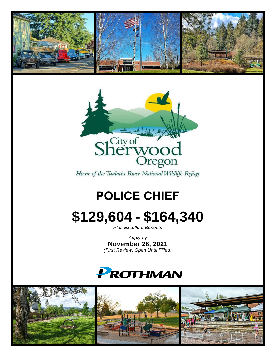



Home of the Tualatin River National Wildlife Refuge

# **POLICE CHIEF**

# **\$129,604 - \$164,340**

*Plus Excellent Benefits*

*Apply by* **November 28, 2021** *(First Review, Open Until Filled)*

# **PROTHMAN**

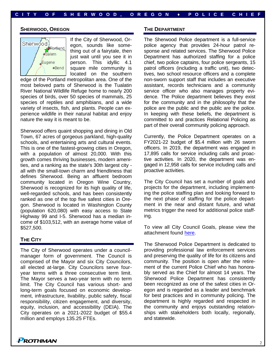#### **SHERWOOD, OREGON**

Sherwood Rentland  $\sum_{n=1}^{\infty}$ **J**Eugene ◆Bend

If the City of Sherwood, Oregon, sounds like something out of a fairytale, then just wait until you see it in person. This idyllic 4.1 square mile community is located on the southern

edge of the Portland metropolitan area. One of the most beloved parts of Sherwood is the Tualatin River National Wildlife Refuge home to nearly 200 species of birds, over 50 species of mammals, 25 species of reptiles and amphibians, and a wide variety of insects, fish, and plants. People can experience wildlife in their natural habitat and enjoy nature the way it is meant to be.

Sherwood offers quaint shopping and dining in Old Town, 67 acres of gorgeous parkland, high-quality schools, and entertaining arts and cultural events. This is one of the fastest-growing cities in Oregon, with a population of almost 20,000. With this growth comes thriving businesses, modern amenities, and a ranking as the state's 30th largest city all with the small-town charm and friendliness that defines Sherwood. Being an affluent bedroom community located in Oregon Wine Country, Sherwood is recognized for its high quality of life, well-regarded schools, and has been consistently ranked as one of the top five safest cities in Oregon. Sherwood is located in Washington County (population 620,080) with easy access to State Highway 99 and I-5. Sherwood has a median income of \$103,512, with an average home value of \$527,500.

### **THE CITY**

The City of Sherwood operates under a councilmanager form of government. The Council is comprised of the Mayor and six City Councilors, all elected at-large. City Councilors serve fouryear terms with a three consecutive term limit. The Mayor serves a two-year term with no term limit. The City Council has various short- and long-term goals focused on economic development, infrastructure, livability, public safety, fiscal responsibility, citizen engagement, and diversity, equity, inclusion, and accessibility (DEIA). The City operates on a 2021-2022 budget of \$55.4 million and employs 135.25 FTEs.

#### **THE DEPARTMENT**

The Sherwood Police department is a full-service police agency that provides 24-hour patrol response and related services. The Sherwood Police Department has authorized staffing for a police chief, two police captains, four police sergeants, 15 patrol officers (including a traffic unit), two detectives, two school resource officers and a complete non-sworn support staff that includes an executive assistant, records technicians and a community service officer who also manages property evidence. The Police department believes they exist for the community and in the philosophy that the police are the public and the public are the police. In keeping with these beliefs, the department is committed to and practices Relational Policing as part of their overall community policing approach.

Currently, the Police Department operates on a FY2021-22 budget of \$5.4 million with 26 sworn officers. In 2019, the department was engaged in 17,895 calls for service including calls and proactive activities. In 2020, the department was engaged in 12,958 calls for service including calls and proactive activities.

The City Council has set a number of goals and projects for the department, including implementing the police staffing plan and looking forward to the next phase of staffing for the police department in the near and distant future, and what metrics trigger the need for additional police staffing.

To view all City Council Goals, please view the attachment found [here.](https://prothman.com/JobFiles/2920/City%20of%20Sherwood%20Council%20Goals.pdf)

The Sherwood Police Department is dedicated to providing professional law enforcement services and preserving the quality of life for its citizens and community. The position is open after the retirement of the current Police Chief who has honorably served as the Chief for almost 14 years. The Sherwood Police Department has consistently been recognized as one of the safest cities in Oregon and is regarded as a leader and benchmark for best practices and in community policing. The department is highly regarded and respected in the community and enjoys outstanding relationships with stakeholders both locally, regionally, and statewide.

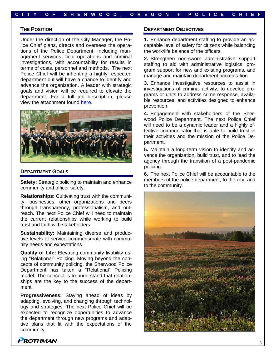## **THE POSITION**

Under the direction of the City Manager, the Police Chief plans, directs and oversees the operations of the Police Department, including management services, field operations and criminal investigations, with accountability for results in terms of costs, personnel and methods. The next Police Chief will be inheriting a highly respected department but will have a chance to identify and advance the organization. A leader with strategic goals and vision will be required to elevate the department. For a full job description, please view the attachment found [here.](https://prothman.com/JobFiles/2920/Police%20Chief.pdf)



#### **DEPARTMENT GOALS**

**Safety:** Strategic policing to maintain and enhance community and officer safety.

**Relationships:** Cultivating trust with the community, businesses, other organizations and peers through transparency, professionalism, and outreach. The next Police Chief will need to maintain the current relationships while working to build trust and faith with stakeholders.

**Sustainability:** Maintaining diverse and productive levels of service commensurate with community needs and expectations.

**Quality of Life:** Elevating community livability using "Relational" Policing. Moving beyond the concepts of community policing, the Sherwood Police Department has taken a "Relational" Policing model. The concept is to understand that relationships are the key to the success of the department.

**Progressiveness:** Staying ahead of ideas by adapting, evolving, and changing through technology and strategies. The next Police Chief will be expected to recognize opportunities to advance the department through new programs and adaptive plans that fit with the expectations of the community.

#### **DEPARTMENT OBJECTIVES**

**1.** Enhance department staffing to provide an acceptable level of safety for citizens while balancing the work/life balance of the officers.

**2.** Strengthen non-sworn administrative support staffing to aid with administrative logistics, program support for new and existing programs, and manage and maintain department accreditation.

**3.** Enhance investigative resources to assist in investigations of criminal activity, to develop programs or units to address crime response, available resources, and activities designed to enhance prevention.

**4.** Engagement with stakeholders of the Sherwood Police Department. The next Police Chief will need to be a dynamic leader and a highly effective communicator that is able to build trust in their activities and the mission of the Police Department.

**5.** Maintain a long-term vision to identify and advance the organization, build trust, and to lead the agency through the transition of a post-pandemic policing.

**6.** The next Police Chief will be accountable to the members of the police department, to the city, and to the community.